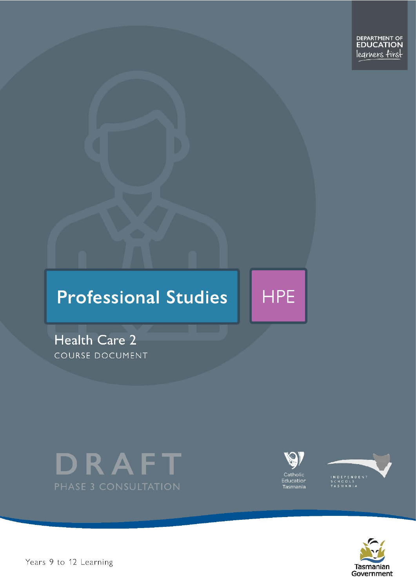

# **Professional Studies**

Health Care 2 COURSE DOCUMENT





**HPE** 





Years 9 to 12 Learning – Health Care Level 2 Page 1 of 23 Page 1 of 23 Page 1 of 23 Page 1 of 23 Page 1 of 23 Page 1 of 23 Page 1 of 23 Page 1 of 23 Page 1 of 23 Page 1 of 23 Page 1 of 23 Page 1 of 23 Page 1 of 23 Page 1 o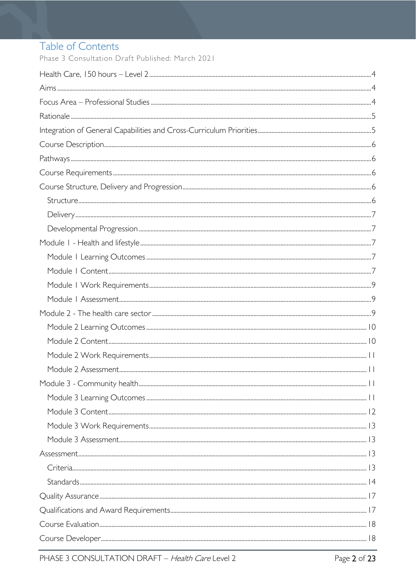# Table of Contents

Phase 3 Consultation Draft Published: March 2021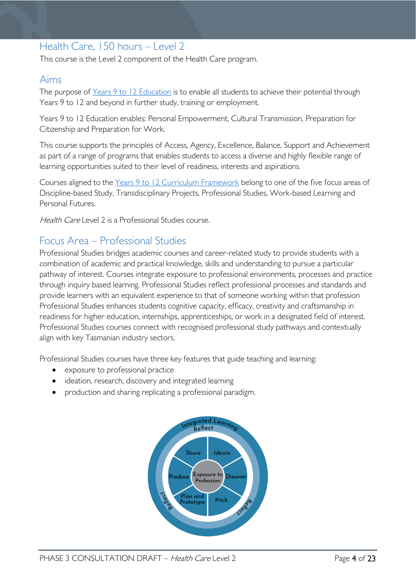# <span id="page-3-0"></span>Health Care, 150 hours – Level 2

This course is the Level 2 component of the Health Care program.

### <span id="page-3-1"></span>Aims

The purpose of Years 9 to 12 [Education](https://publicdocumentcentre.education.tas.gov.au/library/Shared%20Documents/Years-9-to-12-Education-Framework.pdf) is to enable all students to achieve their potential through Years 9 to 12 and beyond in further study, training or employment.

Years 9 to 12 Education enables: Personal Empowerment, Cultural Transmission, Preparation for Citizenship and Preparation for Work.

This course supports the principles of Access, Agency, Excellence, Balance, Support and Achievement as part of a range of programs that enables students to access a diverse and highly flexible range of learning opportunities suited to their level of readiness, interests and aspirations.

Courses aligned to the Years 9 to 12 Curriculum [Framework](https://publicdocumentcentre.education.tas.gov.au/library/Shared%20Documents/Education%209-12%20Frameworks%20A3%20WEB%20POSTER.pdf) belong to one of the five focus areas of Discipline-based Study, Transdisciplinary Projects, Professional Studies, Work-based Learning and Personal Futures.

Health Care Level 2 is a Professional Studies course.

# <span id="page-3-2"></span>Focus Area – Professional Studies

Professional Studies bridges academic courses and career-related study to provide students with a combination of academic and practical knowledge, skills and understanding to pursue a particular pathway of interest. Courses integrate exposure to professional environments, processes and practice through inquiry based learning. Professional Studies reflect professional processes and standards and provide learners with an equivalent experience to that of someone working within that profession Professional Studies enhances students cognitive capacity, efficacy, creativity and craftsmanship in readiness for higher education, internships, apprenticeships, or work in a designated field of interest. Professional Studies courses connect with recognised professional study pathways and contextually align with key Tasmanian industry sectors.

Professional Studies courses have three key features that guide teaching and learning:

- exposure to professional practice
- ideation, research, discovery and integrated learning
- production and sharing replicating a professional paradigm.

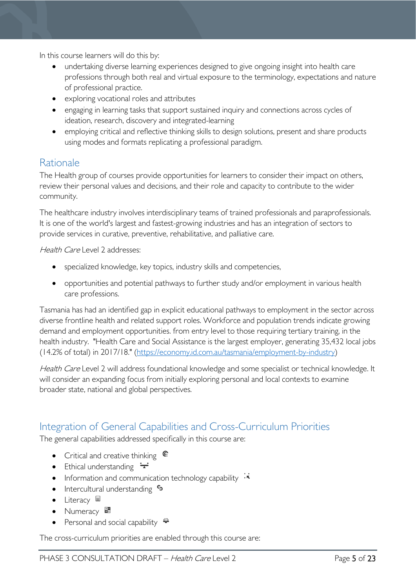In this course learners will do this by:

- undertaking diverse learning experiences designed to give ongoing insight into health care professions through both real and virtual exposure to the terminology, expectations and nature of professional practice.
- exploring vocational roles and attributes
- engaging in learning tasks that support sustained inquiry and connections across cycles of ideation, research, discovery and integrated-learning
- employing critical and reflective thinking skills to design solutions, present and share products using modes and formats replicating a professional paradigm.

# <span id="page-4-0"></span>Rationale

The Health group of courses provide opportunities for learners to consider their impact on others, review their personal values and decisions, and their role and capacity to contribute to the wider community.

The healthcare industry involves interdisciplinary teams of trained professionals and paraprofessionals. It is one of the world's largest and fastest-growing industries and has an integration of sectors to provide services in curative, preventive, rehabilitative, and palliative care.

Health Care Level 2 addresses:

- specialized knowledge, key topics, industry skills and competencies,
- opportunities and potential pathways to further study and/or employment in various health care professions.

Tasmania has had an identified gap in explicit educational pathways to employment in the sector across diverse frontline health and related support roles. Workforce and population trends indicate growing demand and employment opportunities. from entry level to those requiring tertiary training, in the health industry. "Health Care and Social Assistance is the largest employer, generating 35,432 local jobs (14.2% of total) in 2017/18." [\(https://economy.id.com.au/tasmania/employment-by-industry\)](https://economy.id.com.au/tasmania/employment-by-industry)

Health Care Level 2 will address foundational knowledge and some specialist or technical knowledge. It will consider an expanding focus from initially exploring personal and local contexts to examine broader state, national and global perspectives.

### <span id="page-4-1"></span>Integration of General Capabilities and Cross-Curriculum Priorities

The general capabilities addressed specifically in this course are:

- Critical and creative thinking  $\mathbb{C}$
- Ethical understanding  $\div$
- Information and communication technology capability  $\cdot\overline{\cdot}$
- Intercultural understanding  $\frac{c_3}{ }$
- Literacy  $\blacksquare$
- Numeracy ■
- Personal and social capability  $\ddot{\ddot{\bullet}}$

The cross-curriculum priorities are enabled through this course are: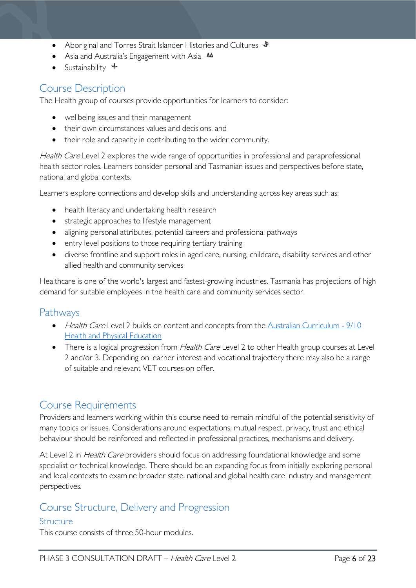- Aboriginal and Torres Strait Islander Histories and Cultures  $\mathcal$
- Asia and Australia's Engagement with Asia **AA**
- Sustainability  $\triangleq$

# <span id="page-5-0"></span>Course Description

The Health group of courses provide opportunities for learners to consider:

- wellbeing issues and their management
- their own circumstances values and decisions, and
- their role and capacity in contributing to the wider community.

Health Care Level 2 explores the wide range of opportunities in professional and paraprofessional health sector roles. Learners consider personal and Tasmanian issues and perspectives before state, national and global contexts.

Learners explore connections and develop skills and understanding across key areas such as:

- health literacy and undertaking health research
- strategic approaches to lifestyle management
- aligning personal attributes, potential careers and professional pathways
- entry level positions to those requiring tertiary training
- diverse frontline and support roles in aged care, nursing, childcare, disability services and other allied health and community services

Healthcare is one of the world's largest and fastest-growing industries. Tasmania has projections of high demand for suitable employees in the health care and community services sector.

### <span id="page-5-1"></span>Pathways

- Health Care Level 2 builds on content and concepts from the Australian Curriculum 9/10 [Health and Physical Education](http://www.australiancurriculum.edu.au/health-and-physical-education/curriculum/f-10?layout=1)
- There is a logical progression from *Health Care* Level 2 to other Health group courses at Level 2 and/or 3. Depending on learner interest and vocational trajectory there may also be a range of suitable and relevant VET courses on offer.

### <span id="page-5-2"></span>Course Requirements

Providers and learners working within this course need to remain mindful of the potential sensitivity of many topics or issues. Considerations around expectations, mutual respect, privacy, trust and ethical behaviour should be reinforced and reflected in professional practices, mechanisms and delivery.

At Level 2 in *Health Care* providers should focus on addressing foundational knowledge and some specialist or technical knowledge. There should be an expanding focus from initially exploring personal and local contexts to examine broader state, national and global health care industry and management perspectives.

## <span id="page-5-3"></span>Course Structure, Delivery and Progression

#### <span id="page-5-4"></span>**Structure**

This course consists of three 50-hour modules.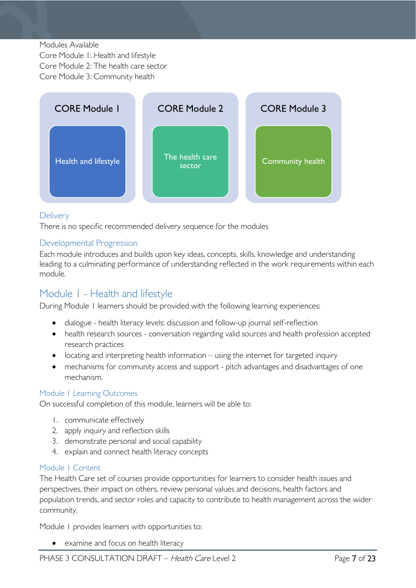#### Modules Available

Core Module 1: Health and lifestyle Core Module 2: The health care sector Core Module 3: Community health



#### <span id="page-6-0"></span>**Delivery**

There is no specific recommended delivery sequence for the modules

#### <span id="page-6-1"></span>Developmental Progression

Each module introduces and builds upon key ideas, concepts, skills, knowledge and understanding leading to a culminating performance of understanding reflected in the work requirements within each module.

### <span id="page-6-2"></span>Module 1 - Health and lifestyle

During Module 1 learners should be provided with the following learning experiences:

- dialogue health literacy levels: discussion and follow-up journal self-reflection
- health research sources conversation regarding valid sources and health profession accepted research practices
- locating and interpreting health information using the internet for targeted inquiry
- mechanisms for community access and support pitch advantages and disadvantages of one mechanism.

#### <span id="page-6-3"></span>Module 1 Learning Outcomes

On successful completion of this module, learners will be able to:

- 1. communicate effectively
- 2. apply inquiry and reflection skills
- 3. demonstrate personal and social capability
- 4. explain and connect health literacy concepts

#### <span id="page-6-4"></span>Module 1 Content

The Health Care set of courses provide opportunities for learners to consider health issues and perspectives, their impact on others, review personal values and decisions, health factors and population trends, and sector roles and capacity to contribute to health management across the wider community.

Module 1 provides learners with opportunities to:

• examine and focus on health literacy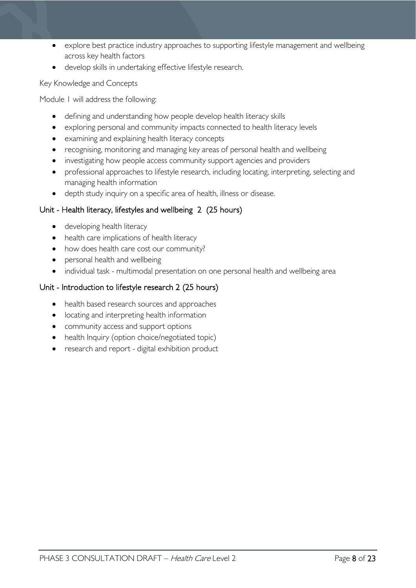- explore best practice industry approaches to supporting lifestyle management and wellbeing across key health factors
- develop skills in undertaking effective lifestyle research.

Key Knowledge and Concepts

Module 1 will address the following:

- defining and understanding how people develop health literacy skills
- exploring personal and community impacts connected to health literacy levels
- examining and explaining health literacy concepts
- recognising, monitoring and managing key areas of personal health and wellbeing
- investigating how people access community support agencies and providers
- professional approaches to lifestyle research, including locating, interpreting, selecting and managing health information
- depth study inquiry on a specific area of health, illness or disease.

### Unit - Health literacy, lifestyles and wellbeing 2 (25 hours)

- developing health literacy
- health care implications of health literacy
- how does health care cost our community?
- personal health and wellbeing
- individual task multimodal presentation on one personal health and wellbeing area

#### Unit - Introduction to lifestyle research 2 (25 hours)

- health based research sources and approaches
- locating and interpreting health information
- community access and support options
- health Inquiry (option choice/negotiated topic)
- research and report digital exhibition product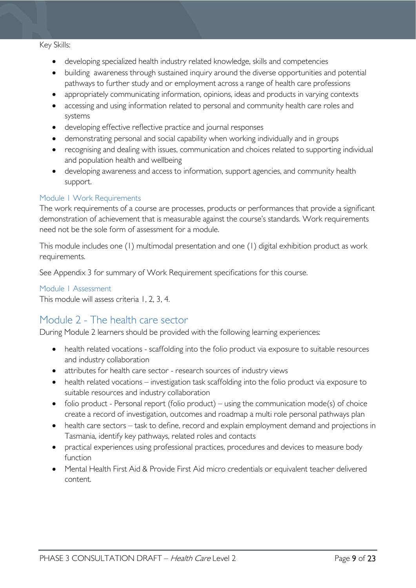#### Key Skills:

- developing specialized health industry related knowledge, skills and competencies
- building awareness through sustained inquiry around the diverse opportunities and potential pathways to further study and or employment across a range of health care professions
- appropriately communicating information, opinions, ideas and products in varying contexts
- accessing and using information related to personal and community health care roles and systems
- developing effective reflective practice and journal responses
- demonstrating personal and social capability when working individually and in groups
- recognising and dealing with issues, communication and choices related to supporting individual and population health and wellbeing
- developing awareness and access to information, support agencies, and community health support.

#### <span id="page-8-0"></span>Module 1 Work Requirements

The work requirements of a course are processes, products or performances that provide a significant demonstration of achievement that is measurable against the course's standards. Work requirements need not be the sole form of assessment for a module.

This module includes one (1) multimodal presentation and one (1) digital exhibition product as work requirements.

See Appendix 3 for summary of Work Requirement specifications for this course.

#### <span id="page-8-1"></span>Module 1 Assessment

This module will assess criteria 1, 2, 3, 4.

### <span id="page-8-2"></span>Module 2 - The health care sector

During Module 2 learners should be provided with the following learning experiences:

- health related vocations scaffolding into the folio product via exposure to suitable resources and industry collaboration
- attributes for health care sector research sources of industry views
- health related vocations investigation task scaffolding into the folio product via exposure to suitable resources and industry collaboration
- folio product Personal report (folio product) using the communication mode(s) of choice create a record of investigation, outcomes and roadmap a multi role personal pathways plan
- health care sectors task to define, record and explain employment demand and projections in Tasmania, identify key pathways, related roles and contacts
- practical experiences using professional practices, procedures and devices to measure body function
- Mental Health First Aid & Provide First Aid micro credentials or equivalent teacher delivered content.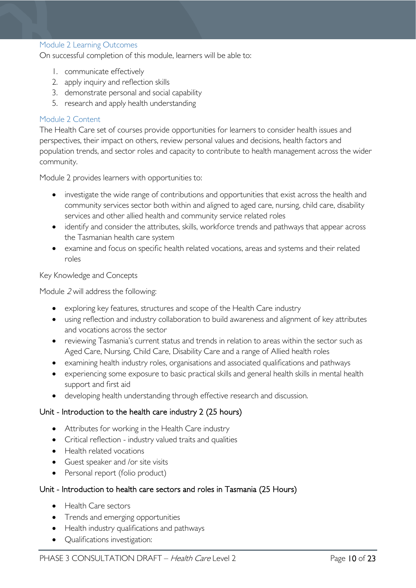#### <span id="page-9-0"></span>Module 2 Learning Outcomes

On successful completion of this module, learners will be able to:

- 1. communicate effectively
- 2. apply inquiry and reflection skills
- 3. demonstrate personal and social capability
- 5. research and apply health understanding

#### <span id="page-9-1"></span>Module 2 Content

The Health Care set of courses provide opportunities for learners to consider health issues and perspectives, their impact on others, review personal values and decisions, health factors and population trends, and sector roles and capacity to contribute to health management across the wider community.

Module 2 provides learners with opportunities to:

- investigate the wide range of contributions and opportunities that exist across the health and community services sector both within and aligned to aged care, nursing, child care, disability services and other allied health and community service related roles
- identify and consider the attributes, skills, workforce trends and pathways that appear across the Tasmanian health care system
- examine and focus on specific health related vocations, areas and systems and their related roles

#### Key Knowledge and Concepts

Module <sup>2</sup> will address the following:

- exploring key features, structures and scope of the Health Care industry
- using reflection and industry collaboration to build awareness and alignment of key attributes and vocations across the sector
- reviewing Tasmania's current status and trends in relation to areas within the sector such as Aged Care, Nursing, Child Care, Disability Care and a range of Allied health roles
- examining health industry roles, organisations and associated qualifications and pathways
- experiencing some exposure to basic practical skills and general health skills in mental health support and first aid
- developing health understanding through effective research and discussion.

#### Unit - Introduction to the health care industry 2 (25 hours)

- Attributes for working in the Health Care industry
- Critical reflection industry valued traits and qualities
- Health related vocations
- Guest speaker and /or site visits
- Personal report (folio product)

#### Unit - Introduction to health care sectors and roles in Tasmania (25 Hours)

- Health Care sectors
- Trends and emerging opportunities
- Health industry qualifications and pathways
- Qualifications investigation: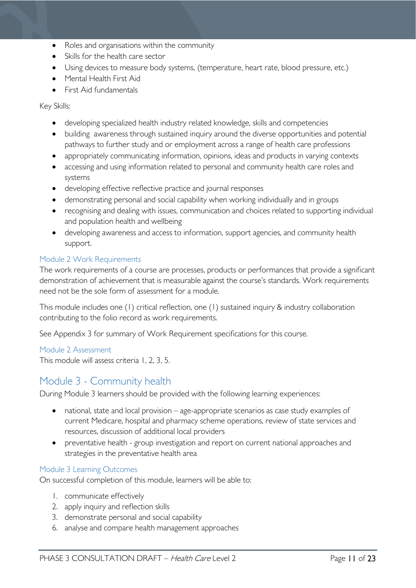- Roles and organisations within the community
- Skills for the health care sector
- Using devices to measure body systems, (temperature, heart rate, blood pressure, etc.)
- Mental Health First Aid
- First Aid fundamentals

Key Skills:

- developing specialized health industry related knowledge, skills and competencies
- building awareness through sustained inquiry around the diverse opportunities and potential pathways to further study and or employment across a range of health care professions
- appropriately communicating information, opinions, ideas and products in varying contexts
- accessing and using information related to personal and community health care roles and systems
- developing effective reflective practice and journal responses
- demonstrating personal and social capability when working individually and in groups
- recognising and dealing with issues, communication and choices related to supporting individual and population health and wellbeing
- developing awareness and access to information, support agencies, and community health support.

#### <span id="page-10-0"></span>Module 2 Work Requirements

The work requirements of a course are processes, products or performances that provide a significant demonstration of achievement that is measurable against the course's standards. Work requirements need not be the sole form of assessment for a module.

This module includes one (1) critical reflection, one (1) sustained inquiry & industry collaboration contributing to the folio record as work requirements.

See Appendix 3 for summary of Work Requirement specifications for this course.

#### <span id="page-10-1"></span>Module 2 Assessment

This module will assess criteria 1, 2, 3, 5.

### <span id="page-10-2"></span>Module 3 - Community health

During Module 3 learners should be provided with the following learning experiences:

- national, state and local provision age-appropriate scenarios as case study examples of current Medicare, hospital and pharmacy scheme operations, review of state services and resources, discussion of additional local providers
- preventative health group investigation and report on current national approaches and strategies in the preventative health area

#### <span id="page-10-3"></span>Module 3 Learning Outcomes

On successful completion of this module, learners will be able to:

- 1. communicate effectively
- 2. apply inquiry and reflection skills
- 3. demonstrate personal and social capability
- 6. analyse and compare health management approaches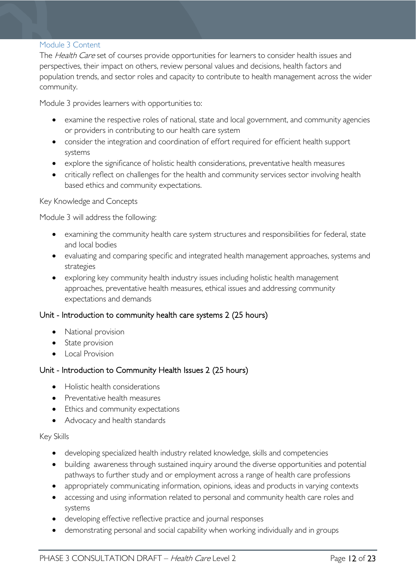#### <span id="page-11-0"></span>Module 3 Content

The Health Care set of courses provide opportunities for learners to consider health issues and perspectives, their impact on others, review personal values and decisions, health factors and population trends, and sector roles and capacity to contribute to health management across the wider community.

Module 3 provides learners with opportunities to:

- examine the respective roles of national, state and local government, and community agencies or providers in contributing to our health care system
- consider the integration and coordination of effort required for efficient health support systems
- explore the significance of holistic health considerations, preventative health measures
- critically reflect on challenges for the health and community services sector involving health based ethics and community expectations.

#### Key Knowledge and Concepts

Module 3 will address the following:

- examining the community health care system structures and responsibilities for federal, state and local bodies
- evaluating and comparing specific and integrated health management approaches, systems and strategies
- exploring key community health industry issues including holistic health management approaches, preventative health measures, ethical issues and addressing community expectations and demands

#### Unit - Introduction to community health care systems 2 (25 hours)

- National provision
- State provision
- Local Provision

#### Unit - Introduction to Community Health Issues 2 (25 hours)

- Holistic health considerations
- Preventative health measures
- Ethics and community expectations
- Advocacy and health standards

#### Key Skills

- developing specialized health industry related knowledge, skills and competencies
- building awareness through sustained inquiry around the diverse opportunities and potential pathways to further study and or employment across a range of health care professions
- appropriately communicating information, opinions, ideas and products in varying contexts
- accessing and using information related to personal and community health care roles and systems
- developing effective reflective practice and journal responses
- demonstrating personal and social capability when working individually and in groups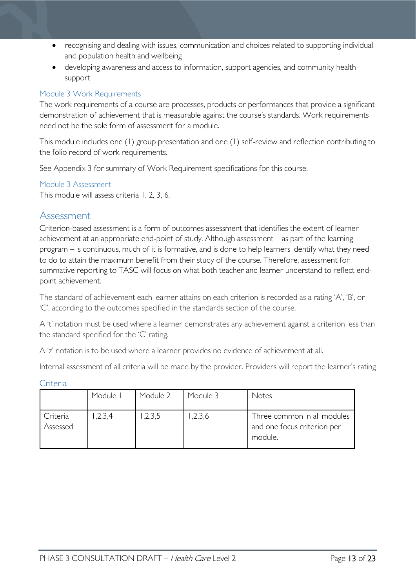- recognising and dealing with issues, communication and choices related to supporting individual and population health and wellbeing
- developing awareness and access to information, support agencies, and community health support

### <span id="page-12-0"></span>Module 3 Work Requirements

The work requirements of a course are processes, products or performances that provide a significant demonstration of achievement that is measurable against the course's standards. Work requirements need not be the sole form of assessment for a module.

This module includes one (1) group presentation and one (1) self-review and reflection contributing to the folio record of work requirements.

See Appendix 3 for summary of Work Requirement specifications for this course.

#### <span id="page-12-1"></span>Module 3 Assessment

This module will assess criteria 1, 2, 3, 6.

### <span id="page-12-2"></span>Assessment

Criterion-based assessment is a form of outcomes assessment that identifies the extent of learner achievement at an appropriate end-point of study. Although assessment – as part of the learning program – is continuous, much of it is formative, and is done to help learners identify what they need to do to attain the maximum benefit from their study of the course. Therefore, assessment for summative reporting to TASC will focus on what both teacher and learner understand to reflect endpoint achievement.

The standard of achievement each learner attains on each criterion is recorded as a rating 'A', 'B', or 'C', according to the outcomes specified in the standards section of the course.

A 't' notation must be used where a learner demonstrates any achievement against a criterion less than the standard specified for the 'C' rating.

A 'z' notation is to be used where a learner provides no evidence of achievement at all.

Internal assessment of all criteria will be made by the provider. Providers will report the learner's rating

<span id="page-12-3"></span>

|  | ÷r. |  |
|--|-----|--|
|  |     |  |

|                      | Module | Module 2 | Module 3 | Notes                                                                 |
|----------------------|--------|----------|----------|-----------------------------------------------------------------------|
| Criteria<br>Assessed | 2,3,4  | 1,2,3,5  | 1,2,3,6  | Three common in all modules<br>and one focus criterion per<br>module. |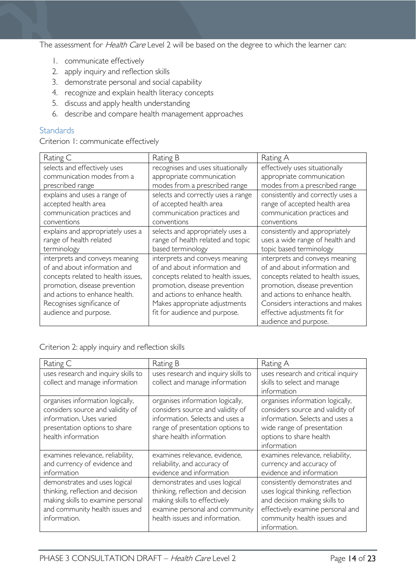The assessment for *Health Care* Level 2 will be based on the degree to which the learner can:

- 1. communicate effectively
- 2. apply inquiry and reflection skills
- 3. demonstrate personal and social capability
- 4. recognize and explain health literacy concepts
- 5. discuss and apply health understanding
- 6. describe and compare health management approaches

#### <span id="page-13-0"></span>**Standards**

Criterion 1: communicate effectively

| Rating C                           | Rating B                           | Rating A                           |
|------------------------------------|------------------------------------|------------------------------------|
| selects and effectively uses       | recognises and uses situationally  | effectively uses situationally     |
| communication modes from a         | appropriate communication          | appropriate communication          |
| prescribed range                   | modes from a prescribed range      | modes from a prescribed range      |
| explains and uses a range of       | selects and correctly uses a range | consistently and correctly uses a  |
| accepted health area               | of accepted health area            | range of accepted health area      |
| communication practices and        | communication practices and        | communication practices and        |
| conventions                        | conventions                        | conventions                        |
| explains and appropriately uses a  | selects and appropriately uses a   | consistently and appropriately     |
| range of health related            | range of health related and topic  | uses a wide range of health and    |
| terminology                        | based terminology                  | topic based terminology            |
| interprets and conveys meaning     | interprets and conveys meaning     | interprets and conveys meaning     |
| of and about information and       | of and about information and       | of and about information and       |
| concepts related to health issues, | concepts related to health issues, | concepts related to health issues, |
| promotion, disease prevention      | promotion, disease prevention      | promotion, disease prevention      |
| and actions to enhance health.     | and actions to enhance health.     | and actions to enhance health.     |
| Recognises significance of         | Makes appropriate adjustments      | Considers interactions and makes   |
| audience and purpose.              | fit for audience and purpose.      | effective adjustments fit for      |
|                                    |                                    | audience and purpose.              |

#### Criterion 2: apply inquiry and reflection skills

| Rating C                                                                                                                                                   | Rating B                                                                                                                                                                | Rating A                                                                                                                                                                               |
|------------------------------------------------------------------------------------------------------------------------------------------------------------|-------------------------------------------------------------------------------------------------------------------------------------------------------------------------|----------------------------------------------------------------------------------------------------------------------------------------------------------------------------------------|
| uses research and inquiry skills to<br>collect and manage information                                                                                      | uses research and inquiry skills to<br>collect and manage information                                                                                                   | uses research and critical inquiry<br>skills to select and manage<br>information                                                                                                       |
| organises information logically,<br>considers source and validity of<br>information. Uses varied<br>presentation options to share<br>health information    | organises information logically,<br>considers source and validity of<br>information. Selects and uses a<br>range of presentation options to<br>share health information | organises information logically,<br>considers source and validity of<br>information. Selects and uses a<br>wide range of presentation<br>options to share health<br>information        |
| examines relevance, reliability,<br>and currency of evidence and<br>information                                                                            | examines relevance, evidence,<br>reliability, and accuracy of<br>evidence and information                                                                               | examines relevance, reliability,<br>currency and accuracy of<br>evidence and information                                                                                               |
| demonstrates and uses logical<br>thinking, reflection and decision<br>making skills to examine personal<br>and community health issues and<br>information. | demonstrates and uses logical<br>thinking, reflection and decision<br>making skills to effectively<br>examine personal and community<br>health issues and information.  | consistently demonstrates and<br>uses logical thinking, reflection<br>and decision making skills to<br>effectively examine personal and<br>community health issues and<br>information. |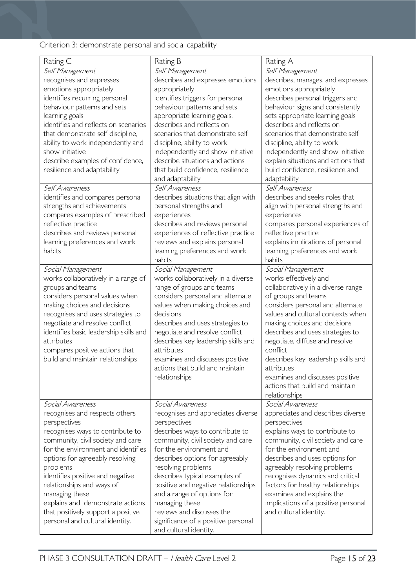### Criterion 3: demonstrate personal and social capability

| Self Management<br>Self Management<br>Self Management<br>recognises and expresses<br>describes and expresses emotions<br>describes, manages, and expresses<br>emotions appropriately<br>emotions appropriately<br>appropriately<br>identifies recurring personal<br>identifies triggers for personal<br>describes personal triggers and<br>behaviour patterns and sets<br>behaviour signs and consistently<br>behaviour patterns and sets<br>learning goals<br>appropriate learning goals.<br>sets appropriate learning goals<br>identifies and reflects on scenarios<br>describes and reflects on<br>describes and reflects on<br>that demonstrate self discipline,<br>scenarios that demonstrate self<br>scenarios that demonstrate self<br>ability to work independently and<br>discipline, ability to work<br>discipline, ability to work<br>show initiative<br>independently and show initiative<br>independently and show initiative<br>describe situations and actions<br>explain situations and actions that<br>describe examples of confidence,<br>that build confidence, resilience<br>build confidence, resilience and<br>resilience and adaptability<br>adaptability<br>and adaptability<br>Self Awareness<br>Self Awareness<br>Self Awareness<br>describes situations that align with<br>describes and seeks roles that<br>identifies and compares personal<br>strengths and achievements<br>align with personal strengths and<br>personal strengths and<br>compares examples of prescribed<br>experiences<br>experiences<br>reflective practice<br>describes and reviews personal<br>compares personal experiences of<br>describes and reviews personal<br>experiences of reflective practice<br>reflective practice<br>learning preferences and work<br>reviews and explains personal<br>explains implications of personal<br>habits<br>learning preferences and work<br>learning preferences and work<br>habits<br>habits<br>Social Management<br>Social Management<br>Social Management<br>works collaboratively in a range of<br>works collaboratively in a diverse<br>works effectively and<br>groups and teams<br>range of groups and teams<br>collaboratively in a diverse range<br>considers personal values when<br>considers personal and alternate<br>of groups and teams<br>making choices and decisions<br>considers personal and alternate<br>values when making choices and<br>values and cultural contexts when<br>decisions<br>recognises and uses strategies to<br>negotiate and resolve conflict<br>making choices and decisions<br>describes and uses strategies to<br>identifies basic leadership skills and<br>negotiate and resolve conflict<br>describes and uses strategies to<br>attributes<br>describes key leadership skills and<br>negotiate, diffuse and resolve<br>attributes<br>conflict<br>compares positive actions that<br>build and maintain relationships<br>examines and discusses positive<br>describes key leadership skills and<br>actions that build and maintain<br>attributes<br>relationships<br>examines and discusses positive<br>actions that build and maintain<br>relationships<br>Social Awareness<br>Social Awareness<br>Social Awareness<br>appreciates and describes diverse<br>recognises and respects others<br>recognises and appreciates diverse<br>perspectives<br>perspectives<br>perspectives<br>recognises ways to contribute to<br>describes ways to contribute to<br>explains ways to contribute to<br>community, civil society and care<br>community, civil society and care<br>community, civil society and care | Rating C                           | Rating B                | Rating A                |
|--------------------------------------------------------------------------------------------------------------------------------------------------------------------------------------------------------------------------------------------------------------------------------------------------------------------------------------------------------------------------------------------------------------------------------------------------------------------------------------------------------------------------------------------------------------------------------------------------------------------------------------------------------------------------------------------------------------------------------------------------------------------------------------------------------------------------------------------------------------------------------------------------------------------------------------------------------------------------------------------------------------------------------------------------------------------------------------------------------------------------------------------------------------------------------------------------------------------------------------------------------------------------------------------------------------------------------------------------------------------------------------------------------------------------------------------------------------------------------------------------------------------------------------------------------------------------------------------------------------------------------------------------------------------------------------------------------------------------------------------------------------------------------------------------------------------------------------------------------------------------------------------------------------------------------------------------------------------------------------------------------------------------------------------------------------------------------------------------------------------------------------------------------------------------------------------------------------------------------------------------------------------------------------------------------------------------------------------------------------------------------------------------------------------------------------------------------------------------------------------------------------------------------------------------------------------------------------------------------------------------------------------------------------------------------------------------------------------------------------------------------------------------------------------------------------------------------------------------------------------------------------------------------------------------------------------------------------------------------------------------------------------------------------------------------------------------------------------------------------------------------------------------------------------------------------------------------------------------------------------------------------------------------------------------------------------------------------------------------------------------------------------------------------------------------------------------------------------------------------------------------------------------------------------------------------------------------------------------|------------------------------------|-------------------------|-------------------------|
|                                                                                                                                                                                                                                                                                                                                                                                                                                                                                                                                                                                                                                                                                                                                                                                                                                                                                                                                                                                                                                                                                                                                                                                                                                                                                                                                                                                                                                                                                                                                                                                                                                                                                                                                                                                                                                                                                                                                                                                                                                                                                                                                                                                                                                                                                                                                                                                                                                                                                                                                                                                                                                                                                                                                                                                                                                                                                                                                                                                                                                                                                                                                                                                                                                                                                                                                                                                                                                                                                                                                                                                                  |                                    |                         |                         |
|                                                                                                                                                                                                                                                                                                                                                                                                                                                                                                                                                                                                                                                                                                                                                                                                                                                                                                                                                                                                                                                                                                                                                                                                                                                                                                                                                                                                                                                                                                                                                                                                                                                                                                                                                                                                                                                                                                                                                                                                                                                                                                                                                                                                                                                                                                                                                                                                                                                                                                                                                                                                                                                                                                                                                                                                                                                                                                                                                                                                                                                                                                                                                                                                                                                                                                                                                                                                                                                                                                                                                                                                  |                                    |                         |                         |
|                                                                                                                                                                                                                                                                                                                                                                                                                                                                                                                                                                                                                                                                                                                                                                                                                                                                                                                                                                                                                                                                                                                                                                                                                                                                                                                                                                                                                                                                                                                                                                                                                                                                                                                                                                                                                                                                                                                                                                                                                                                                                                                                                                                                                                                                                                                                                                                                                                                                                                                                                                                                                                                                                                                                                                                                                                                                                                                                                                                                                                                                                                                                                                                                                                                                                                                                                                                                                                                                                                                                                                                                  |                                    |                         |                         |
|                                                                                                                                                                                                                                                                                                                                                                                                                                                                                                                                                                                                                                                                                                                                                                                                                                                                                                                                                                                                                                                                                                                                                                                                                                                                                                                                                                                                                                                                                                                                                                                                                                                                                                                                                                                                                                                                                                                                                                                                                                                                                                                                                                                                                                                                                                                                                                                                                                                                                                                                                                                                                                                                                                                                                                                                                                                                                                                                                                                                                                                                                                                                                                                                                                                                                                                                                                                                                                                                                                                                                                                                  |                                    |                         |                         |
|                                                                                                                                                                                                                                                                                                                                                                                                                                                                                                                                                                                                                                                                                                                                                                                                                                                                                                                                                                                                                                                                                                                                                                                                                                                                                                                                                                                                                                                                                                                                                                                                                                                                                                                                                                                                                                                                                                                                                                                                                                                                                                                                                                                                                                                                                                                                                                                                                                                                                                                                                                                                                                                                                                                                                                                                                                                                                                                                                                                                                                                                                                                                                                                                                                                                                                                                                                                                                                                                                                                                                                                                  |                                    |                         |                         |
|                                                                                                                                                                                                                                                                                                                                                                                                                                                                                                                                                                                                                                                                                                                                                                                                                                                                                                                                                                                                                                                                                                                                                                                                                                                                                                                                                                                                                                                                                                                                                                                                                                                                                                                                                                                                                                                                                                                                                                                                                                                                                                                                                                                                                                                                                                                                                                                                                                                                                                                                                                                                                                                                                                                                                                                                                                                                                                                                                                                                                                                                                                                                                                                                                                                                                                                                                                                                                                                                                                                                                                                                  |                                    |                         |                         |
|                                                                                                                                                                                                                                                                                                                                                                                                                                                                                                                                                                                                                                                                                                                                                                                                                                                                                                                                                                                                                                                                                                                                                                                                                                                                                                                                                                                                                                                                                                                                                                                                                                                                                                                                                                                                                                                                                                                                                                                                                                                                                                                                                                                                                                                                                                                                                                                                                                                                                                                                                                                                                                                                                                                                                                                                                                                                                                                                                                                                                                                                                                                                                                                                                                                                                                                                                                                                                                                                                                                                                                                                  |                                    |                         |                         |
|                                                                                                                                                                                                                                                                                                                                                                                                                                                                                                                                                                                                                                                                                                                                                                                                                                                                                                                                                                                                                                                                                                                                                                                                                                                                                                                                                                                                                                                                                                                                                                                                                                                                                                                                                                                                                                                                                                                                                                                                                                                                                                                                                                                                                                                                                                                                                                                                                                                                                                                                                                                                                                                                                                                                                                                                                                                                                                                                                                                                                                                                                                                                                                                                                                                                                                                                                                                                                                                                                                                                                                                                  |                                    |                         |                         |
|                                                                                                                                                                                                                                                                                                                                                                                                                                                                                                                                                                                                                                                                                                                                                                                                                                                                                                                                                                                                                                                                                                                                                                                                                                                                                                                                                                                                                                                                                                                                                                                                                                                                                                                                                                                                                                                                                                                                                                                                                                                                                                                                                                                                                                                                                                                                                                                                                                                                                                                                                                                                                                                                                                                                                                                                                                                                                                                                                                                                                                                                                                                                                                                                                                                                                                                                                                                                                                                                                                                                                                                                  |                                    |                         |                         |
|                                                                                                                                                                                                                                                                                                                                                                                                                                                                                                                                                                                                                                                                                                                                                                                                                                                                                                                                                                                                                                                                                                                                                                                                                                                                                                                                                                                                                                                                                                                                                                                                                                                                                                                                                                                                                                                                                                                                                                                                                                                                                                                                                                                                                                                                                                                                                                                                                                                                                                                                                                                                                                                                                                                                                                                                                                                                                                                                                                                                                                                                                                                                                                                                                                                                                                                                                                                                                                                                                                                                                                                                  |                                    |                         |                         |
|                                                                                                                                                                                                                                                                                                                                                                                                                                                                                                                                                                                                                                                                                                                                                                                                                                                                                                                                                                                                                                                                                                                                                                                                                                                                                                                                                                                                                                                                                                                                                                                                                                                                                                                                                                                                                                                                                                                                                                                                                                                                                                                                                                                                                                                                                                                                                                                                                                                                                                                                                                                                                                                                                                                                                                                                                                                                                                                                                                                                                                                                                                                                                                                                                                                                                                                                                                                                                                                                                                                                                                                                  |                                    |                         |                         |
|                                                                                                                                                                                                                                                                                                                                                                                                                                                                                                                                                                                                                                                                                                                                                                                                                                                                                                                                                                                                                                                                                                                                                                                                                                                                                                                                                                                                                                                                                                                                                                                                                                                                                                                                                                                                                                                                                                                                                                                                                                                                                                                                                                                                                                                                                                                                                                                                                                                                                                                                                                                                                                                                                                                                                                                                                                                                                                                                                                                                                                                                                                                                                                                                                                                                                                                                                                                                                                                                                                                                                                                                  |                                    |                         |                         |
|                                                                                                                                                                                                                                                                                                                                                                                                                                                                                                                                                                                                                                                                                                                                                                                                                                                                                                                                                                                                                                                                                                                                                                                                                                                                                                                                                                                                                                                                                                                                                                                                                                                                                                                                                                                                                                                                                                                                                                                                                                                                                                                                                                                                                                                                                                                                                                                                                                                                                                                                                                                                                                                                                                                                                                                                                                                                                                                                                                                                                                                                                                                                                                                                                                                                                                                                                                                                                                                                                                                                                                                                  |                                    |                         |                         |
|                                                                                                                                                                                                                                                                                                                                                                                                                                                                                                                                                                                                                                                                                                                                                                                                                                                                                                                                                                                                                                                                                                                                                                                                                                                                                                                                                                                                                                                                                                                                                                                                                                                                                                                                                                                                                                                                                                                                                                                                                                                                                                                                                                                                                                                                                                                                                                                                                                                                                                                                                                                                                                                                                                                                                                                                                                                                                                                                                                                                                                                                                                                                                                                                                                                                                                                                                                                                                                                                                                                                                                                                  |                                    |                         |                         |
|                                                                                                                                                                                                                                                                                                                                                                                                                                                                                                                                                                                                                                                                                                                                                                                                                                                                                                                                                                                                                                                                                                                                                                                                                                                                                                                                                                                                                                                                                                                                                                                                                                                                                                                                                                                                                                                                                                                                                                                                                                                                                                                                                                                                                                                                                                                                                                                                                                                                                                                                                                                                                                                                                                                                                                                                                                                                                                                                                                                                                                                                                                                                                                                                                                                                                                                                                                                                                                                                                                                                                                                                  |                                    |                         |                         |
|                                                                                                                                                                                                                                                                                                                                                                                                                                                                                                                                                                                                                                                                                                                                                                                                                                                                                                                                                                                                                                                                                                                                                                                                                                                                                                                                                                                                                                                                                                                                                                                                                                                                                                                                                                                                                                                                                                                                                                                                                                                                                                                                                                                                                                                                                                                                                                                                                                                                                                                                                                                                                                                                                                                                                                                                                                                                                                                                                                                                                                                                                                                                                                                                                                                                                                                                                                                                                                                                                                                                                                                                  |                                    |                         |                         |
|                                                                                                                                                                                                                                                                                                                                                                                                                                                                                                                                                                                                                                                                                                                                                                                                                                                                                                                                                                                                                                                                                                                                                                                                                                                                                                                                                                                                                                                                                                                                                                                                                                                                                                                                                                                                                                                                                                                                                                                                                                                                                                                                                                                                                                                                                                                                                                                                                                                                                                                                                                                                                                                                                                                                                                                                                                                                                                                                                                                                                                                                                                                                                                                                                                                                                                                                                                                                                                                                                                                                                                                                  |                                    |                         |                         |
|                                                                                                                                                                                                                                                                                                                                                                                                                                                                                                                                                                                                                                                                                                                                                                                                                                                                                                                                                                                                                                                                                                                                                                                                                                                                                                                                                                                                                                                                                                                                                                                                                                                                                                                                                                                                                                                                                                                                                                                                                                                                                                                                                                                                                                                                                                                                                                                                                                                                                                                                                                                                                                                                                                                                                                                                                                                                                                                                                                                                                                                                                                                                                                                                                                                                                                                                                                                                                                                                                                                                                                                                  |                                    |                         |                         |
|                                                                                                                                                                                                                                                                                                                                                                                                                                                                                                                                                                                                                                                                                                                                                                                                                                                                                                                                                                                                                                                                                                                                                                                                                                                                                                                                                                                                                                                                                                                                                                                                                                                                                                                                                                                                                                                                                                                                                                                                                                                                                                                                                                                                                                                                                                                                                                                                                                                                                                                                                                                                                                                                                                                                                                                                                                                                                                                                                                                                                                                                                                                                                                                                                                                                                                                                                                                                                                                                                                                                                                                                  |                                    |                         |                         |
|                                                                                                                                                                                                                                                                                                                                                                                                                                                                                                                                                                                                                                                                                                                                                                                                                                                                                                                                                                                                                                                                                                                                                                                                                                                                                                                                                                                                                                                                                                                                                                                                                                                                                                                                                                                                                                                                                                                                                                                                                                                                                                                                                                                                                                                                                                                                                                                                                                                                                                                                                                                                                                                                                                                                                                                                                                                                                                                                                                                                                                                                                                                                                                                                                                                                                                                                                                                                                                                                                                                                                                                                  |                                    |                         |                         |
|                                                                                                                                                                                                                                                                                                                                                                                                                                                                                                                                                                                                                                                                                                                                                                                                                                                                                                                                                                                                                                                                                                                                                                                                                                                                                                                                                                                                                                                                                                                                                                                                                                                                                                                                                                                                                                                                                                                                                                                                                                                                                                                                                                                                                                                                                                                                                                                                                                                                                                                                                                                                                                                                                                                                                                                                                                                                                                                                                                                                                                                                                                                                                                                                                                                                                                                                                                                                                                                                                                                                                                                                  |                                    |                         |                         |
|                                                                                                                                                                                                                                                                                                                                                                                                                                                                                                                                                                                                                                                                                                                                                                                                                                                                                                                                                                                                                                                                                                                                                                                                                                                                                                                                                                                                                                                                                                                                                                                                                                                                                                                                                                                                                                                                                                                                                                                                                                                                                                                                                                                                                                                                                                                                                                                                                                                                                                                                                                                                                                                                                                                                                                                                                                                                                                                                                                                                                                                                                                                                                                                                                                                                                                                                                                                                                                                                                                                                                                                                  |                                    |                         |                         |
|                                                                                                                                                                                                                                                                                                                                                                                                                                                                                                                                                                                                                                                                                                                                                                                                                                                                                                                                                                                                                                                                                                                                                                                                                                                                                                                                                                                                                                                                                                                                                                                                                                                                                                                                                                                                                                                                                                                                                                                                                                                                                                                                                                                                                                                                                                                                                                                                                                                                                                                                                                                                                                                                                                                                                                                                                                                                                                                                                                                                                                                                                                                                                                                                                                                                                                                                                                                                                                                                                                                                                                                                  |                                    |                         |                         |
|                                                                                                                                                                                                                                                                                                                                                                                                                                                                                                                                                                                                                                                                                                                                                                                                                                                                                                                                                                                                                                                                                                                                                                                                                                                                                                                                                                                                                                                                                                                                                                                                                                                                                                                                                                                                                                                                                                                                                                                                                                                                                                                                                                                                                                                                                                                                                                                                                                                                                                                                                                                                                                                                                                                                                                                                                                                                                                                                                                                                                                                                                                                                                                                                                                                                                                                                                                                                                                                                                                                                                                                                  |                                    |                         |                         |
|                                                                                                                                                                                                                                                                                                                                                                                                                                                                                                                                                                                                                                                                                                                                                                                                                                                                                                                                                                                                                                                                                                                                                                                                                                                                                                                                                                                                                                                                                                                                                                                                                                                                                                                                                                                                                                                                                                                                                                                                                                                                                                                                                                                                                                                                                                                                                                                                                                                                                                                                                                                                                                                                                                                                                                                                                                                                                                                                                                                                                                                                                                                                                                                                                                                                                                                                                                                                                                                                                                                                                                                                  |                                    |                         |                         |
|                                                                                                                                                                                                                                                                                                                                                                                                                                                                                                                                                                                                                                                                                                                                                                                                                                                                                                                                                                                                                                                                                                                                                                                                                                                                                                                                                                                                                                                                                                                                                                                                                                                                                                                                                                                                                                                                                                                                                                                                                                                                                                                                                                                                                                                                                                                                                                                                                                                                                                                                                                                                                                                                                                                                                                                                                                                                                                                                                                                                                                                                                                                                                                                                                                                                                                                                                                                                                                                                                                                                                                                                  |                                    |                         |                         |
|                                                                                                                                                                                                                                                                                                                                                                                                                                                                                                                                                                                                                                                                                                                                                                                                                                                                                                                                                                                                                                                                                                                                                                                                                                                                                                                                                                                                                                                                                                                                                                                                                                                                                                                                                                                                                                                                                                                                                                                                                                                                                                                                                                                                                                                                                                                                                                                                                                                                                                                                                                                                                                                                                                                                                                                                                                                                                                                                                                                                                                                                                                                                                                                                                                                                                                                                                                                                                                                                                                                                                                                                  |                                    |                         |                         |
|                                                                                                                                                                                                                                                                                                                                                                                                                                                                                                                                                                                                                                                                                                                                                                                                                                                                                                                                                                                                                                                                                                                                                                                                                                                                                                                                                                                                                                                                                                                                                                                                                                                                                                                                                                                                                                                                                                                                                                                                                                                                                                                                                                                                                                                                                                                                                                                                                                                                                                                                                                                                                                                                                                                                                                                                                                                                                                                                                                                                                                                                                                                                                                                                                                                                                                                                                                                                                                                                                                                                                                                                  |                                    |                         |                         |
|                                                                                                                                                                                                                                                                                                                                                                                                                                                                                                                                                                                                                                                                                                                                                                                                                                                                                                                                                                                                                                                                                                                                                                                                                                                                                                                                                                                                                                                                                                                                                                                                                                                                                                                                                                                                                                                                                                                                                                                                                                                                                                                                                                                                                                                                                                                                                                                                                                                                                                                                                                                                                                                                                                                                                                                                                                                                                                                                                                                                                                                                                                                                                                                                                                                                                                                                                                                                                                                                                                                                                                                                  |                                    |                         |                         |
|                                                                                                                                                                                                                                                                                                                                                                                                                                                                                                                                                                                                                                                                                                                                                                                                                                                                                                                                                                                                                                                                                                                                                                                                                                                                                                                                                                                                                                                                                                                                                                                                                                                                                                                                                                                                                                                                                                                                                                                                                                                                                                                                                                                                                                                                                                                                                                                                                                                                                                                                                                                                                                                                                                                                                                                                                                                                                                                                                                                                                                                                                                                                                                                                                                                                                                                                                                                                                                                                                                                                                                                                  |                                    |                         |                         |
|                                                                                                                                                                                                                                                                                                                                                                                                                                                                                                                                                                                                                                                                                                                                                                                                                                                                                                                                                                                                                                                                                                                                                                                                                                                                                                                                                                                                                                                                                                                                                                                                                                                                                                                                                                                                                                                                                                                                                                                                                                                                                                                                                                                                                                                                                                                                                                                                                                                                                                                                                                                                                                                                                                                                                                                                                                                                                                                                                                                                                                                                                                                                                                                                                                                                                                                                                                                                                                                                                                                                                                                                  |                                    |                         |                         |
|                                                                                                                                                                                                                                                                                                                                                                                                                                                                                                                                                                                                                                                                                                                                                                                                                                                                                                                                                                                                                                                                                                                                                                                                                                                                                                                                                                                                                                                                                                                                                                                                                                                                                                                                                                                                                                                                                                                                                                                                                                                                                                                                                                                                                                                                                                                                                                                                                                                                                                                                                                                                                                                                                                                                                                                                                                                                                                                                                                                                                                                                                                                                                                                                                                                                                                                                                                                                                                                                                                                                                                                                  |                                    |                         |                         |
|                                                                                                                                                                                                                                                                                                                                                                                                                                                                                                                                                                                                                                                                                                                                                                                                                                                                                                                                                                                                                                                                                                                                                                                                                                                                                                                                                                                                                                                                                                                                                                                                                                                                                                                                                                                                                                                                                                                                                                                                                                                                                                                                                                                                                                                                                                                                                                                                                                                                                                                                                                                                                                                                                                                                                                                                                                                                                                                                                                                                                                                                                                                                                                                                                                                                                                                                                                                                                                                                                                                                                                                                  |                                    |                         |                         |
|                                                                                                                                                                                                                                                                                                                                                                                                                                                                                                                                                                                                                                                                                                                                                                                                                                                                                                                                                                                                                                                                                                                                                                                                                                                                                                                                                                                                                                                                                                                                                                                                                                                                                                                                                                                                                                                                                                                                                                                                                                                                                                                                                                                                                                                                                                                                                                                                                                                                                                                                                                                                                                                                                                                                                                                                                                                                                                                                                                                                                                                                                                                                                                                                                                                                                                                                                                                                                                                                                                                                                                                                  |                                    |                         |                         |
|                                                                                                                                                                                                                                                                                                                                                                                                                                                                                                                                                                                                                                                                                                                                                                                                                                                                                                                                                                                                                                                                                                                                                                                                                                                                                                                                                                                                                                                                                                                                                                                                                                                                                                                                                                                                                                                                                                                                                                                                                                                                                                                                                                                                                                                                                                                                                                                                                                                                                                                                                                                                                                                                                                                                                                                                                                                                                                                                                                                                                                                                                                                                                                                                                                                                                                                                                                                                                                                                                                                                                                                                  |                                    |                         |                         |
|                                                                                                                                                                                                                                                                                                                                                                                                                                                                                                                                                                                                                                                                                                                                                                                                                                                                                                                                                                                                                                                                                                                                                                                                                                                                                                                                                                                                                                                                                                                                                                                                                                                                                                                                                                                                                                                                                                                                                                                                                                                                                                                                                                                                                                                                                                                                                                                                                                                                                                                                                                                                                                                                                                                                                                                                                                                                                                                                                                                                                                                                                                                                                                                                                                                                                                                                                                                                                                                                                                                                                                                                  |                                    |                         |                         |
|                                                                                                                                                                                                                                                                                                                                                                                                                                                                                                                                                                                                                                                                                                                                                                                                                                                                                                                                                                                                                                                                                                                                                                                                                                                                                                                                                                                                                                                                                                                                                                                                                                                                                                                                                                                                                                                                                                                                                                                                                                                                                                                                                                                                                                                                                                                                                                                                                                                                                                                                                                                                                                                                                                                                                                                                                                                                                                                                                                                                                                                                                                                                                                                                                                                                                                                                                                                                                                                                                                                                                                                                  |                                    |                         |                         |
|                                                                                                                                                                                                                                                                                                                                                                                                                                                                                                                                                                                                                                                                                                                                                                                                                                                                                                                                                                                                                                                                                                                                                                                                                                                                                                                                                                                                                                                                                                                                                                                                                                                                                                                                                                                                                                                                                                                                                                                                                                                                                                                                                                                                                                                                                                                                                                                                                                                                                                                                                                                                                                                                                                                                                                                                                                                                                                                                                                                                                                                                                                                                                                                                                                                                                                                                                                                                                                                                                                                                                                                                  |                                    |                         |                         |
|                                                                                                                                                                                                                                                                                                                                                                                                                                                                                                                                                                                                                                                                                                                                                                                                                                                                                                                                                                                                                                                                                                                                                                                                                                                                                                                                                                                                                                                                                                                                                                                                                                                                                                                                                                                                                                                                                                                                                                                                                                                                                                                                                                                                                                                                                                                                                                                                                                                                                                                                                                                                                                                                                                                                                                                                                                                                                                                                                                                                                                                                                                                                                                                                                                                                                                                                                                                                                                                                                                                                                                                                  |                                    |                         |                         |
|                                                                                                                                                                                                                                                                                                                                                                                                                                                                                                                                                                                                                                                                                                                                                                                                                                                                                                                                                                                                                                                                                                                                                                                                                                                                                                                                                                                                                                                                                                                                                                                                                                                                                                                                                                                                                                                                                                                                                                                                                                                                                                                                                                                                                                                                                                                                                                                                                                                                                                                                                                                                                                                                                                                                                                                                                                                                                                                                                                                                                                                                                                                                                                                                                                                                                                                                                                                                                                                                                                                                                                                                  |                                    |                         |                         |
|                                                                                                                                                                                                                                                                                                                                                                                                                                                                                                                                                                                                                                                                                                                                                                                                                                                                                                                                                                                                                                                                                                                                                                                                                                                                                                                                                                                                                                                                                                                                                                                                                                                                                                                                                                                                                                                                                                                                                                                                                                                                                                                                                                                                                                                                                                                                                                                                                                                                                                                                                                                                                                                                                                                                                                                                                                                                                                                                                                                                                                                                                                                                                                                                                                                                                                                                                                                                                                                                                                                                                                                                  |                                    |                         |                         |
|                                                                                                                                                                                                                                                                                                                                                                                                                                                                                                                                                                                                                                                                                                                                                                                                                                                                                                                                                                                                                                                                                                                                                                                                                                                                                                                                                                                                                                                                                                                                                                                                                                                                                                                                                                                                                                                                                                                                                                                                                                                                                                                                                                                                                                                                                                                                                                                                                                                                                                                                                                                                                                                                                                                                                                                                                                                                                                                                                                                                                                                                                                                                                                                                                                                                                                                                                                                                                                                                                                                                                                                                  | for the environment and identifies | for the environment and | for the environment and |
| options for agreeably resolving<br>describes options for agreeably<br>describes and uses options for                                                                                                                                                                                                                                                                                                                                                                                                                                                                                                                                                                                                                                                                                                                                                                                                                                                                                                                                                                                                                                                                                                                                                                                                                                                                                                                                                                                                                                                                                                                                                                                                                                                                                                                                                                                                                                                                                                                                                                                                                                                                                                                                                                                                                                                                                                                                                                                                                                                                                                                                                                                                                                                                                                                                                                                                                                                                                                                                                                                                                                                                                                                                                                                                                                                                                                                                                                                                                                                                                             |                                    |                         |                         |
| resolving problems<br>agreeably resolving problems<br>problems                                                                                                                                                                                                                                                                                                                                                                                                                                                                                                                                                                                                                                                                                                                                                                                                                                                                                                                                                                                                                                                                                                                                                                                                                                                                                                                                                                                                                                                                                                                                                                                                                                                                                                                                                                                                                                                                                                                                                                                                                                                                                                                                                                                                                                                                                                                                                                                                                                                                                                                                                                                                                                                                                                                                                                                                                                                                                                                                                                                                                                                                                                                                                                                                                                                                                                                                                                                                                                                                                                                                   |                                    |                         |                         |
| recognises dynamics and critical<br>identifies positive and negative<br>describes typical examples of                                                                                                                                                                                                                                                                                                                                                                                                                                                                                                                                                                                                                                                                                                                                                                                                                                                                                                                                                                                                                                                                                                                                                                                                                                                                                                                                                                                                                                                                                                                                                                                                                                                                                                                                                                                                                                                                                                                                                                                                                                                                                                                                                                                                                                                                                                                                                                                                                                                                                                                                                                                                                                                                                                                                                                                                                                                                                                                                                                                                                                                                                                                                                                                                                                                                                                                                                                                                                                                                                            |                                    |                         |                         |
| relationships and ways of<br>positive and negative relationships<br>factors for healthy relationships                                                                                                                                                                                                                                                                                                                                                                                                                                                                                                                                                                                                                                                                                                                                                                                                                                                                                                                                                                                                                                                                                                                                                                                                                                                                                                                                                                                                                                                                                                                                                                                                                                                                                                                                                                                                                                                                                                                                                                                                                                                                                                                                                                                                                                                                                                                                                                                                                                                                                                                                                                                                                                                                                                                                                                                                                                                                                                                                                                                                                                                                                                                                                                                                                                                                                                                                                                                                                                                                                            |                                    |                         |                         |
| and a range of options for<br>examines and explains the<br>managing these                                                                                                                                                                                                                                                                                                                                                                                                                                                                                                                                                                                                                                                                                                                                                                                                                                                                                                                                                                                                                                                                                                                                                                                                                                                                                                                                                                                                                                                                                                                                                                                                                                                                                                                                                                                                                                                                                                                                                                                                                                                                                                                                                                                                                                                                                                                                                                                                                                                                                                                                                                                                                                                                                                                                                                                                                                                                                                                                                                                                                                                                                                                                                                                                                                                                                                                                                                                                                                                                                                                        |                                    |                         |                         |
| explains and demonstrate actions<br>managing these<br>implications of a positive personal                                                                                                                                                                                                                                                                                                                                                                                                                                                                                                                                                                                                                                                                                                                                                                                                                                                                                                                                                                                                                                                                                                                                                                                                                                                                                                                                                                                                                                                                                                                                                                                                                                                                                                                                                                                                                                                                                                                                                                                                                                                                                                                                                                                                                                                                                                                                                                                                                                                                                                                                                                                                                                                                                                                                                                                                                                                                                                                                                                                                                                                                                                                                                                                                                                                                                                                                                                                                                                                                                                        |                                    |                         |                         |
| that positively support a positive<br>reviews and discusses the<br>and cultural identity.                                                                                                                                                                                                                                                                                                                                                                                                                                                                                                                                                                                                                                                                                                                                                                                                                                                                                                                                                                                                                                                                                                                                                                                                                                                                                                                                                                                                                                                                                                                                                                                                                                                                                                                                                                                                                                                                                                                                                                                                                                                                                                                                                                                                                                                                                                                                                                                                                                                                                                                                                                                                                                                                                                                                                                                                                                                                                                                                                                                                                                                                                                                                                                                                                                                                                                                                                                                                                                                                                                        |                                    |                         |                         |
| significance of a positive personal<br>personal and cultural identity.<br>and cultural identity.                                                                                                                                                                                                                                                                                                                                                                                                                                                                                                                                                                                                                                                                                                                                                                                                                                                                                                                                                                                                                                                                                                                                                                                                                                                                                                                                                                                                                                                                                                                                                                                                                                                                                                                                                                                                                                                                                                                                                                                                                                                                                                                                                                                                                                                                                                                                                                                                                                                                                                                                                                                                                                                                                                                                                                                                                                                                                                                                                                                                                                                                                                                                                                                                                                                                                                                                                                                                                                                                                                 |                                    |                         |                         |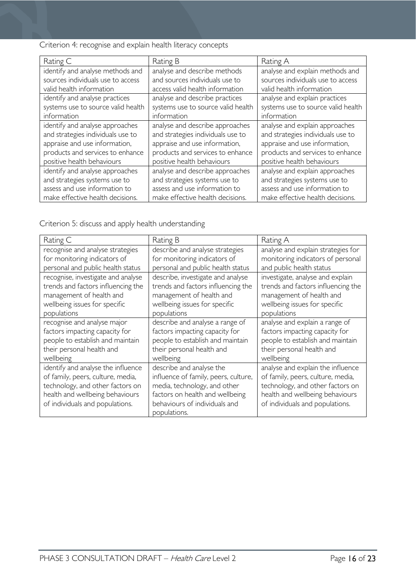Criterion 4: recognise and explain health literacy concepts

| Rating C                           | Rating B                           | Rating A                           |
|------------------------------------|------------------------------------|------------------------------------|
| identify and analyse methods and   | analyse and describe methods       | analyse and explain methods and    |
| sources individuals use to access  | and sources individuals use to     | sources individuals use to access  |
| valid health information           | access valid health information    | valid health information           |
| identify and analyse practices     | analyse and describe practices     | analyse and explain practices      |
| systems use to source valid health | systems use to source valid health | systems use to source valid health |
| information                        | information                        | information                        |
| identify and analyse approaches    | analyse and describe approaches    | analyse and explain approaches     |
| and strategies individuals use to  | and strategies individuals use to  | and strategies individuals use to  |
| appraise and use information,      | appraise and use information,      | appraise and use information,      |
| products and services to enhance   | products and services to enhance   | products and services to enhance   |
| positive health behaviours         | positive health behaviours         | positive health behaviours         |
| identify and analyse approaches    | analyse and describe approaches    | analyse and explain approaches     |
| and strategies systems use to      | and strategies systems use to      | and strategies systems use to      |
| assess and use information to      | assess and use information to      | assess and use information to      |
| make effective health decisions.   | make effective health decisions.   | make effective health decisions.   |

Criterion 5: discuss and apply health understanding

| Rating C                           | Rating B                             | Rating A                           |
|------------------------------------|--------------------------------------|------------------------------------|
| recognise and analyse strategies   | describe and analyse strategies      | analyse and explain strategies for |
| for monitoring indicators of       | for monitoring indicators of         | monitoring indicators of personal  |
| personal and public health status  | personal and public health status    | and public health status           |
| recognise, investigate and analyse | describe, investigate and analyse    | investigate, analyse and explain   |
| trends and factors influencing the | trends and factors influencing the   | trends and factors influencing the |
| management of health and           | management of health and             | management of health and           |
| wellbeing issues for specific      | wellbeing issues for specific        | wellbeing issues for specific      |
| populations                        | populations                          | populations                        |
| recognise and analyse major        | describe and analyse a range of      | analyse and explain a range of     |
| factors impacting capacity for     | factors impacting capacity for       | factors impacting capacity for     |
| people to establish and maintain   | people to establish and maintain     | people to establish and maintain   |
| their personal health and          | their personal health and            | their personal health and          |
| wellbeing                          | wellbeing                            | wellbeing                          |
| identify and analyse the influence | describe and analyse the             | analyse and explain the influence  |
| of family, peers, culture, media,  | influence of family, peers, culture, | of family, peers, culture, media,  |
| technology, and other factors on   | media, technology, and other         | technology, and other factors on   |
| health and wellbeing behaviours    | factors on health and wellbeing      | health and wellbeing behaviours    |
| of individuals and populations.    | behaviours of individuals and        | of individuals and populations.    |
|                                    | populations.                         |                                    |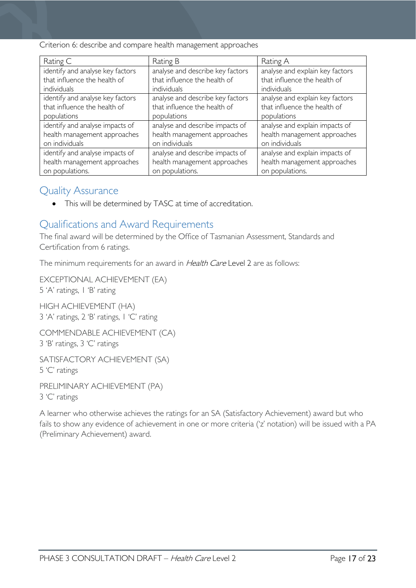Criterion 6: describe and compare health management approaches

| Rating C                         | Rating B                         | Rating A                        |
|----------------------------------|----------------------------------|---------------------------------|
| identify and analyse key factors | analyse and describe key factors | analyse and explain key factors |
| that influence the health of     | that influence the health of     | that influence the health of    |
| individuals                      | individuals                      | individuals                     |
| identify and analyse key factors | analyse and describe key factors | analyse and explain key factors |
| that influence the health of     | that influence the health of     | that influence the health of    |
| populations                      | populations                      | populations                     |
| identify and analyse impacts of  | analyse and describe impacts of  | analyse and explain impacts of  |
| health management approaches     | health management approaches     | health management approaches    |
| on individuals                   | on individuals                   | on individuals                  |
| identify and analyse impacts of  | analyse and describe impacts of  | analyse and explain impacts of  |
| health management approaches     | health management approaches     | health management approaches    |
| on populations.                  | on populations.                  | on populations.                 |

## <span id="page-16-0"></span>Quality Assurance

• This will be determined by TASC at time of accreditation.

# <span id="page-16-1"></span>Qualifications and Award Requirements

The final award will be determined by the Office of Tasmanian Assessment, Standards and Certification from 6 ratings.

The minimum requirements for an award in Health Care Level 2 are as follows:

EXCEPTIONAL ACHIEVEMENT (EA) 5 'A' ratings, 1 'B' rating

HIGH ACHIEVEMENT (HA) 3 'A' ratings, 2 'B' ratings, 1 'C' rating

COMMENDABLE ACHIEVEMENT (CA) 3 'B' ratings, 3 'C' ratings

SATISFACTORY ACHIEVEMENT (SA) 5 'C' ratings

PRELIMINARY ACHIEVEMENT (PA) 3 'C' ratings

A learner who otherwise achieves the ratings for an SA (Satisfactory Achievement) award but who fails to show any evidence of achievement in one or more criteria ('z' notation) will be issued with a PA (Preliminary Achievement) award.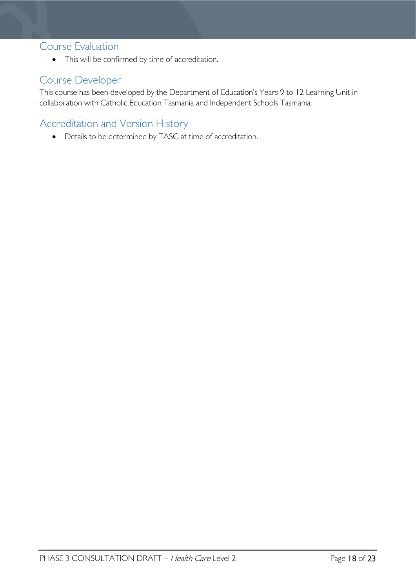### <span id="page-17-0"></span>Course Evaluation

• This will be confirmed by time of accreditation.

# <span id="page-17-1"></span>Course Developer

This course has been developed by the Department of Education's Years 9 to 12 Learning Unit in collaboration with Catholic Education Tasmania and Independent Schools Tasmania.

# <span id="page-17-2"></span>Accreditation and Version History

• Details to be determined by TASC at time of accreditation.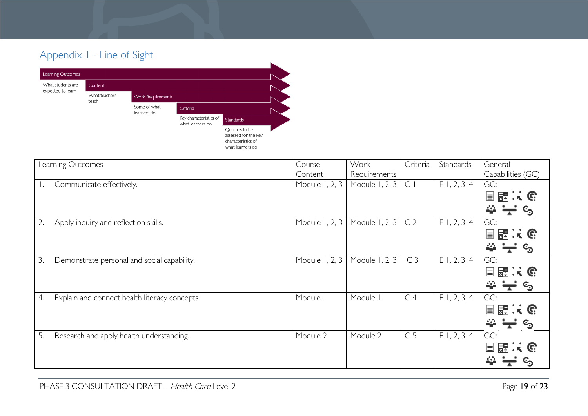# Appendix 1 - Line of Sight



<span id="page-18-0"></span>

| Learning Outcomes                                   | Course         | Work           | Criteria       | Standards      | General             |
|-----------------------------------------------------|----------------|----------------|----------------|----------------|---------------------|
|                                                     | Content        | Requirements   |                |                | Capabilities (GC)   |
| Communicate effectively.                            | Module 1, 2, 3 | Module 1, 2, 3 | C <sub>1</sub> | $E$ 1, 2, 3, 4 | GC:                 |
|                                                     |                |                |                |                | 目闘:(                |
|                                                     |                |                |                |                | $\Rightarrow -$     |
| Apply inquiry and reflection skills.<br>2.          | Module 1, 2, 3 | Module 1, 2, 3 | C <sub>2</sub> | $E$ 1, 2, 3, 4 | GC:                 |
|                                                     |                |                |                |                | 国盟:(                |
|                                                     |                |                |                |                | $\Rightarrow -$     |
| Demonstrate personal and social capability.<br>3.   | Module 1, 2, 3 | Module 1, 2, 3 | C <sub>3</sub> | $E$ 1, 2, 3, 4 | GC:                 |
|                                                     |                |                |                |                | 目闘スで                |
|                                                     |                |                |                |                | $\Rightarrow -$     |
| Explain and connect health literacy concepts.<br>4. | Module         | Module I       | C <sub>4</sub> | $E$ 1, 2, 3, 4 | GC:                 |
|                                                     |                |                |                |                | 目闘スで                |
|                                                     |                |                |                |                | $\rightarrow  \sim$ |
| 5.<br>Research and apply health understanding.      | Module 2       | Module 2       | C <sub>5</sub> | $E$ 1, 2, 3, 4 | GC:                 |
|                                                     |                |                |                |                | 国盟:(6               |
|                                                     |                |                |                |                | 44                  |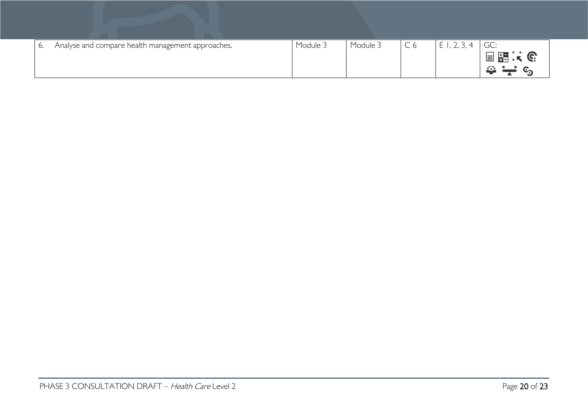| O. | Analyse and compare health management approaches. | Module 3 | Module 3 | $\sim$<br>しん | E1, 2, 3, 4 | GC:  |
|----|---------------------------------------------------|----------|----------|--------------|-------------|------|
|    |                                                   |          |          |              |             | 目題:( |
|    |                                                   |          |          |              |             | 272  |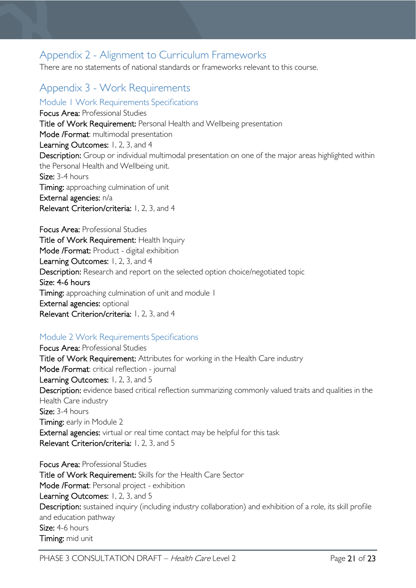# <span id="page-20-0"></span>Appendix 2 - Alignment to Curriculum Frameworks

There are no statements of national standards or frameworks relevant to this course.

# <span id="page-20-1"></span>Appendix 3 - Work Requirements

<span id="page-20-2"></span>Module 1 Work Requirements Specifications

Focus Area: Professional Studies Title of Work Requirement: Personal Health and Wellbeing presentation Mode /Format: multimodal presentation Learning Outcomes: 1, 2, 3, and 4 Description: Group or individual multimodal presentation on one of the major areas highlighted within the Personal Health and Wellbeing unit. Size: 3-4 hours Timing: approaching culmination of unit External agencies: n/a Relevant Criterion/criteria: 1, 2, 3, and 4

Focus Area: Professional Studies Title of Work Requirement: Health Inquiry Mode /Format: Product - digital exhibition Learning Outcomes: 1, 2, 3, and 4 Description: Research and report on the selected option choice/negotiated topic Size: 4-6 hours Timing: approaching culmination of unit and module 1 External agencies: optional Relevant Criterion/criteria: 1, 2, 3, and 4

#### <span id="page-20-3"></span>Module 2 Work Requirements Specifications

Focus Area: Professional Studies Title of Work Requirement: Attributes for working in the Health Care industry Mode /Format: critical reflection - journal Learning Outcomes: 1, 2, 3, and 5 Description: evidence based critical reflection summarizing commonly valued traits and qualities in the Health Care industry Size: 3-4 hours Timing: early in Module 2 External agencies: virtual or real time contact may be helpful for this task Relevant Criterion/criteria: 1, 2, 3, and 5

Focus Area: Professional Studies Title of Work Requirement: Skills for the Health Care Sector Mode /Format: Personal project - exhibition Learning Outcomes: 1, 2, 3, and 5 Description: sustained inquiry (including industry collaboration) and exhibition of a role, its skill profile and education pathway Size: 4-6 hours Timing: mid unit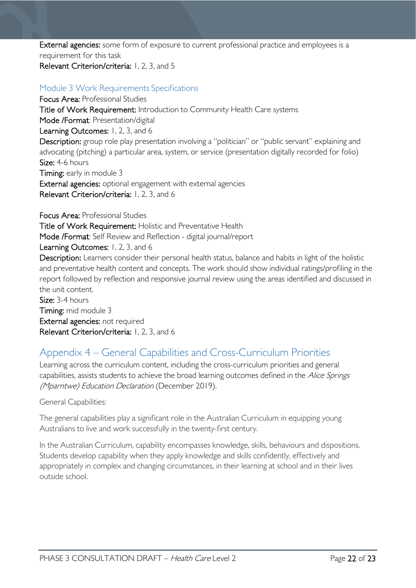External agencies: some form of exposure to current professional practice and employees is a requirement for this task

### Relevant Criterion/criteria: 1, 2, 3, and 5

### <span id="page-21-0"></span>Module 3 Work Requirements Specifications

Focus Area: Professional Studies Title of Work Requirement: Introduction to Community Health Care systems Mode /Format: Presentation/digital Learning Outcomes: 1, 2, 3, and 6 Description: group role play presentation involving a "politician" or "public servant" explaining and advocating (pitching) a particular area, system, or service (presentation digitally recorded for folio) Size: 4-6 hours Timing: early in module 3 External agencies: optional engagement with external agencies Relevant Criterion/criteria: 1, 2, 3, and 6

Focus Area: Professional Studies Title of Work Requirement: Holistic and Preventative Health Mode /Format: Self Review and Reflection - digital journal/report Learning Outcomes: 1, 2, 3, and 6 Description: Learners consider their personal health status, balance and habits in light of the holistic and preventative health content and concepts. The work should show individual ratings/profiling in the report followed by reflection and responsive journal review using the areas identified and discussed in the unit content. Size: 3-4 hours Timing: mid module 3 External agencies: not required Relevant Criterion/criteria: 1, 2, 3, and 6

# <span id="page-21-1"></span>Appendix 4 – General Capabilities and Cross-Curriculum Priorities

Learning across the curriculum content, including the cross-curriculum priorities and general capabilities, assists students to achieve the broad learning outcomes defined in the Alice Springs (Mparntwe) Education Declaration (December 2019).

#### General Capabilities:

The general capabilities play a significant role in the Australian Curriculum in equipping young Australians to live and work successfully in the twenty-first century.

In the Australian Curriculum, capability encompasses knowledge, skills, behaviours and dispositions. Students develop capability when they apply knowledge and skills confidently, effectively and appropriately in complex and changing circumstances, in their learning at school and in their lives outside school.